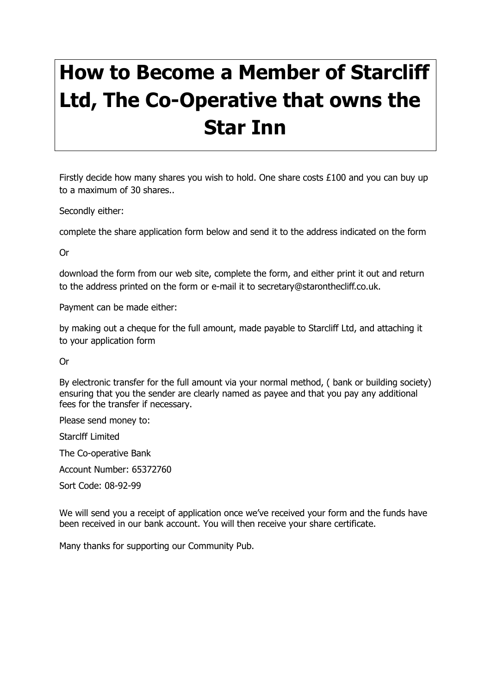## **How to Become a Member of Starcliff Ltd, The Co-Operative that owns the Star Inn**

Firstly decide how many shares you wish to hold. One share costs £100 and you can buy up to a maximum of 30 shares..

Secondly either:

complete the share application form below and send it to the address indicated on the form

Or

download the form from our web site, complete the form, and either print it out and return to the address printed on the form or e-mail it to secretary@staronthecliff.co.uk.

Payment can be made either:

by making out a cheque for the full amount, made payable to Starcliff Ltd, and attaching it to your application form

Or

By electronic transfer for the full amount via your normal method, ( bank or building society) ensuring that you the sender are clearly named as payee and that you pay any additional fees for the transfer if necessary.

Please send money to:

Starclff Limited

The Co-operative Bank

Account Number: 65372760

Sort Code: 08-92-99

We will send you a receipt of application once we've received your form and the funds have been received in our bank account. You will then receive your share certificate.

Many thanks for supporting our Community Pub.